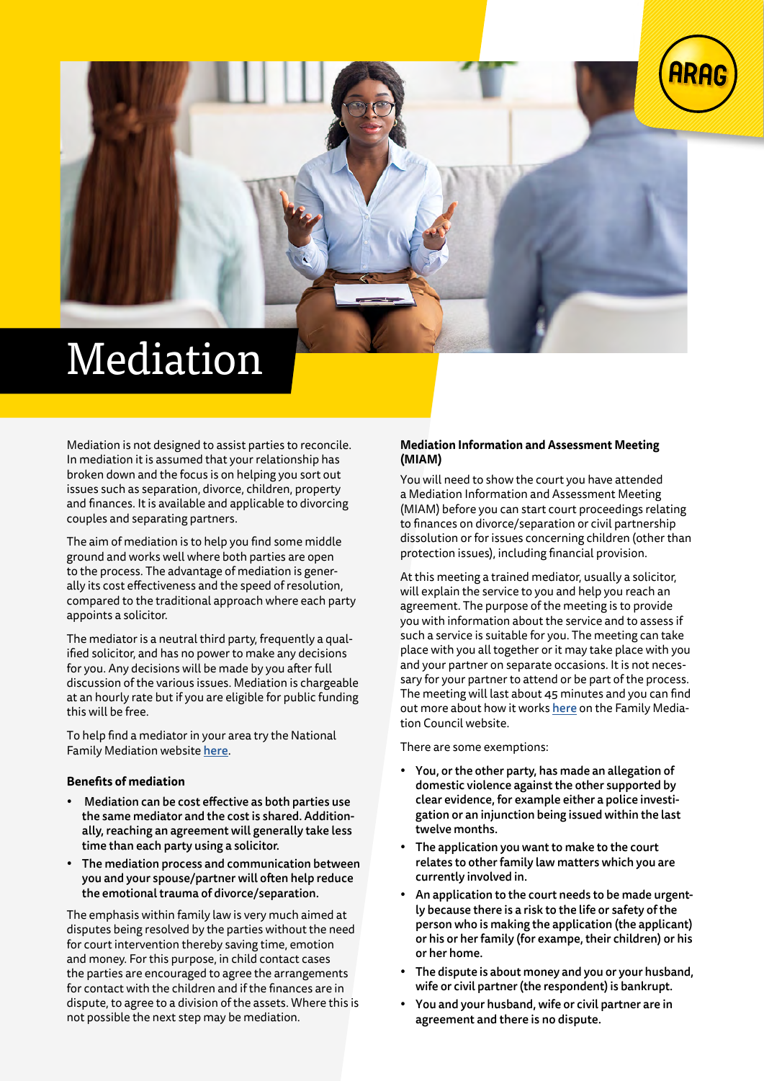

## Mediation

Mediation is not designed to assist parties to reconcile. In mediation it is assumed that your relationship has broken down and the focus is on helping you sort out issues such as separation, divorce, children, property and finances. It is available and applicable to divorcing couples and separating partners.

The aim of mediation is to help you find some middle ground and works well where both parties are open to the process. The advantage of mediation is generally its cost effectiveness and the speed of resolution, compared to the traditional approach where each party appoints a solicitor.

The mediator is a neutral third party, frequently a qualified solicitor, and has no power to make any decisions for you. Any decisions will be made by you after full discussion of the various issues. Mediation is chargeable at an hourly rate but if you are eligible for public funding this will be free.

To help find a mediator in your area try the National Family Mediation website [here](https://www.nfm.org.uk/).

## **Benefits of mediation**

- Mediation can be cost effective as both parties use the same mediator and the cost is shared. Additionally, reaching an agreement will generally take less time than each party using a solicitor.
- The mediation process and communication between you and your spouse/partner will often help reduce the emotional trauma of divorce/separation.

The emphasis within family law is very much aimed at disputes being resolved by the parties without the need for court intervention thereby saving time, emotion and money. For this purpose, in child contact cases the parties are encouraged to agree the arrangements for contact with the children and if the finances are in dispute, to agree to a division of the assets. Where this is not possible the next step may be mediation.

## **Mediation Information and Assessment Meeting (MIAM)**

You will need to show the court you have attended a Mediation Information and Assessment Meeting (MIAM) before you can start court proceedings relating to finances on divorce/separation or civil partnership dissolution or for issues concerning children (other than protection issues), including financial provision.

At this meeting a trained mediator, usually a solicitor, will explain the service to you and help you reach an agreement. The purpose of the meeting is to provide you with information about the service and to assess if such a service is suitable for you. The meeting can take place with you all together or it may take place with you and your partner on separate occasions. It is not necessary for your partner to attend or be part of the process. The meeting will last about 45 minutes and you can find out more about how it works [here](https://www.familymediationcouncil.org.uk/family-mediation/assessment-meeting-miam/) on the Family Mediation Council website.

There are some exemptions:

- You, or the other party, has made an allegation of domestic violence against the other supported by clear evidence, for example either a police investigation or an injunction being issued within the last twelve months.
- The application you want to make to the court relates to other family law matters which you are currently involved in.
- An application to the court needs to be made urgently because there is a risk to the life or safety of the person who is making the application (the applicant) or his or her family (for exampe, their children) or his or her home.
- The dispute is about money and you or your husband, wife or civil partner (the respondent) is bankrupt.
- You and your husband, wife or civil partner are in agreement and there is no dispute.